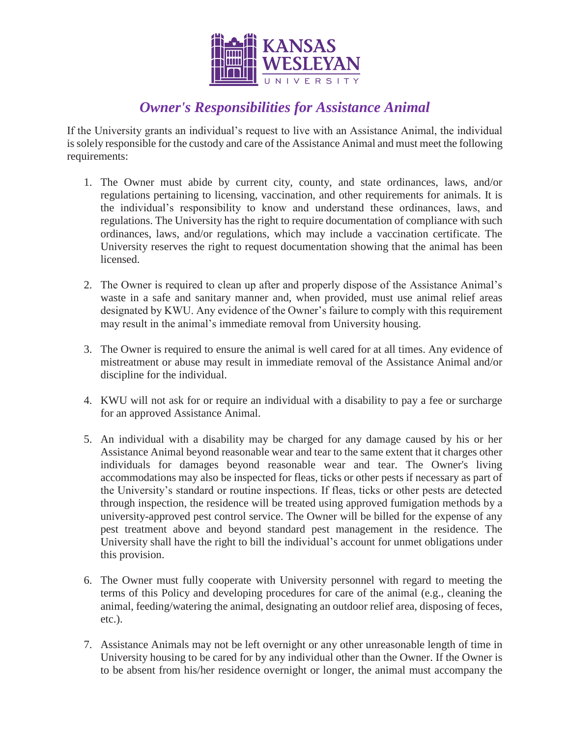

# *Owner's Responsibilities for Assistance Animal*

If the University grants an individual's request to live with an Assistance Animal, the individual is solely responsible for the custody and care of the Assistance Animal and must meet the following requirements:

- 1. The Owner must abide by current city, county, and state ordinances, laws, and/or regulations pertaining to licensing, vaccination, and other requirements for animals. It is the individual's responsibility to know and understand these ordinances, laws, and regulations. The University has the right to require documentation of compliance with such ordinances, laws, and/or regulations, which may include a vaccination certificate. The University reserves the right to request documentation showing that the animal has been licensed.
- 2. The Owner is required to clean up after and properly dispose of the Assistance Animal's waste in a safe and sanitary manner and, when provided, must use animal relief areas designated by KWU. Any evidence of the Owner's failure to comply with this requirement may result in the animal's immediate removal from University housing.
- 3. The Owner is required to ensure the animal is well cared for at all times. Any evidence of mistreatment or abuse may result in immediate removal of the Assistance Animal and/or discipline for the individual.
- 4. KWU will not ask for or require an individual with a disability to pay a fee or surcharge for an approved Assistance Animal.
- 5. An individual with a disability may be charged for any damage caused by his or her Assistance Animal beyond reasonable wear and tear to the same extent that it charges other individuals for damages beyond reasonable wear and tear. The Owner's living accommodations may also be inspected for fleas, ticks or other pests if necessary as part of the University's standard or routine inspections. If fleas, ticks or other pests are detected through inspection, the residence will be treated using approved fumigation methods by a university-approved pest control service. The Owner will be billed for the expense of any pest treatment above and beyond standard pest management in the residence. The University shall have the right to bill the individual's account for unmet obligations under this provision.
- 6. The Owner must fully cooperate with University personnel with regard to meeting the terms of this Policy and developing procedures for care of the animal (e.g., cleaning the animal, feeding/watering the animal, designating an outdoor relief area, disposing of feces, etc.).
- 7. Assistance Animals may not be left overnight or any other unreasonable length of time in University housing to be cared for by any individual other than the Owner. If the Owner is to be absent from his/her residence overnight or longer, the animal must accompany the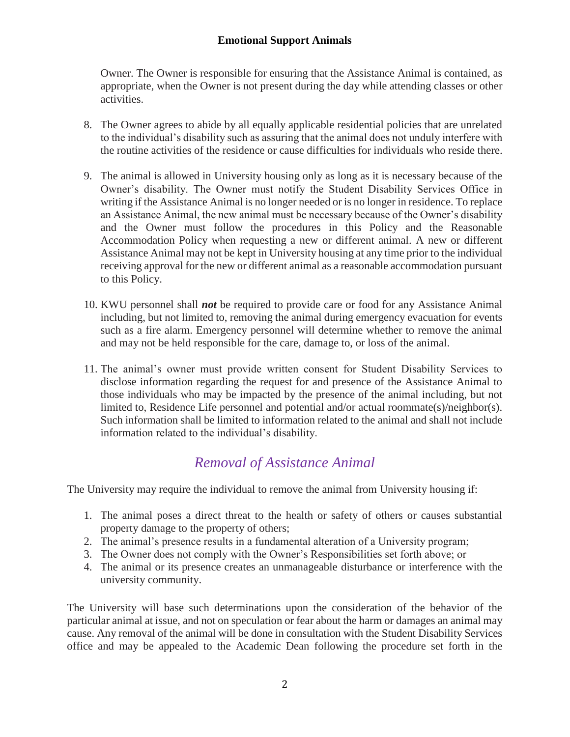#### **Emotional Support Animals**

Owner. The Owner is responsible for ensuring that the Assistance Animal is contained, as appropriate, when the Owner is not present during the day while attending classes or other activities.

- 8. The Owner agrees to abide by all equally applicable residential policies that are unrelated to the individual's disability such as assuring that the animal does not unduly interfere with the routine activities of the residence or cause difficulties for individuals who reside there.
- 9. The animal is allowed in University housing only as long as it is necessary because of the Owner's disability. The Owner must notify the Student Disability Services Office in writing if the Assistance Animal is no longer needed or is no longer in residence. To replace an Assistance Animal, the new animal must be necessary because of the Owner's disability and the Owner must follow the procedures in this Policy and the Reasonable Accommodation Policy when requesting a new or different animal. A new or different Assistance Animal may not be kept in University housing at any time prior to the individual receiving approval for the new or different animal as a reasonable accommodation pursuant to this Policy.
- 10. KWU personnel shall *not* be required to provide care or food for any Assistance Animal including, but not limited to, removing the animal during emergency evacuation for events such as a fire alarm. Emergency personnel will determine whether to remove the animal and may not be held responsible for the care, damage to, or loss of the animal.
- 11. The animal's owner must provide written consent for Student Disability Services to disclose information regarding the request for and presence of the Assistance Animal to those individuals who may be impacted by the presence of the animal including, but not limited to, Residence Life personnel and potential and/or actual roommate(s)/neighbor(s). Such information shall be limited to information related to the animal and shall not include information related to the individual's disability.

## *Removal of Assistance Animal*

The University may require the individual to remove the animal from University housing if:

- 1. The animal poses a direct threat to the health or safety of others or causes substantial property damage to the property of others;
- 2. The animal's presence results in a fundamental alteration of a University program;
- 3. The Owner does not comply with the Owner's Responsibilities set forth above; or
- 4. The animal or its presence creates an unmanageable disturbance or interference with the university community.

The University will base such determinations upon the consideration of the behavior of the particular animal at issue, and not on speculation or fear about the harm or damages an animal may cause. Any removal of the animal will be done in consultation with the Student Disability Services office and may be appealed to the Academic Dean following the procedure set forth in the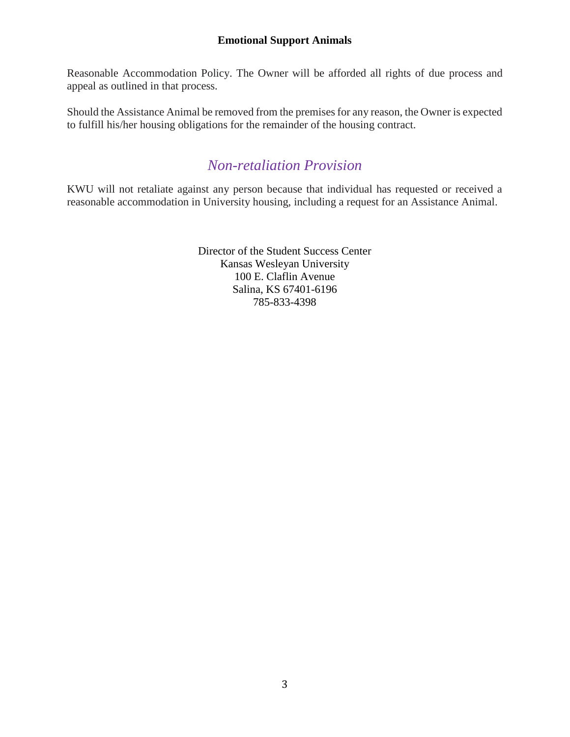#### **Emotional Support Animals**

Reasonable Accommodation Policy. The Owner will be afforded all rights of due process and appeal as outlined in that process.

Should the Assistance Animal be removed from the premises for any reason, the Owner is expected to fulfill his/her housing obligations for the remainder of the housing contract.

### *Non-retaliation Provision*

KWU will not retaliate against any person because that individual has requested or received a reasonable accommodation in University housing, including a request for an Assistance Animal.

> Director of the Student Success Center Kansas Wesleyan University 100 E. Claflin Avenue Salina, KS 67401-6196 785-833-4398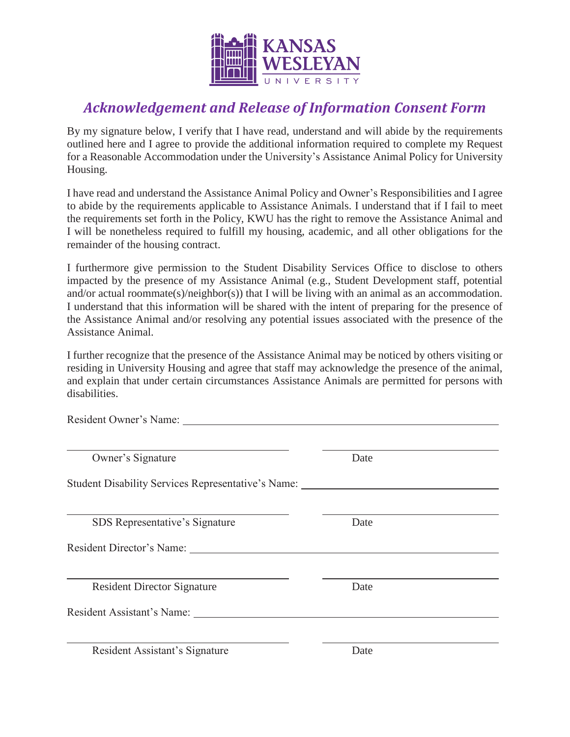

# *Acknowledgement and Release of Information Consent Form*

By my signature below, I verify that I have read, understand and will abide by the requirements outlined here and I agree to provide the additional information required to complete my Request for a Reasonable Accommodation under the University's Assistance Animal Policy for University Housing.

I have read and understand the Assistance Animal Policy and Owner's Responsibilities and I agree to abide by the requirements applicable to Assistance Animals. I understand that if I fail to meet the requirements set forth in the Policy, KWU has the right to remove the Assistance Animal and I will be nonetheless required to fulfill my housing, academic, and all other obligations for the remainder of the housing contract.

I furthermore give permission to the Student Disability Services Office to disclose to others impacted by the presence of my Assistance Animal (e.g., Student Development staff, potential and/or actual roommate(s)/neighbor(s)) that I will be living with an animal as an accommodation. I understand that this information will be shared with the intent of preparing for the presence of the Assistance Animal and/or resolving any potential issues associated with the presence of the Assistance Animal.

I further recognize that the presence of the Assistance Animal may be noticed by others visiting or residing in University Housing and agree that staff may acknowledge the presence of the animal, and explain that under certain circumstances Assistance Animals are permitted for persons with disabilities.

| Owner's Signature                                  | Date |  |
|----------------------------------------------------|------|--|
| Student Disability Services Representative's Name: |      |  |
|                                                    |      |  |
| SDS Representative's Signature                     | Date |  |
| Resident Director's Name: 1988 1999                |      |  |
|                                                    |      |  |
| <b>Resident Director Signature</b>                 | Date |  |
| Resident Assistant's Name:                         |      |  |
|                                                    |      |  |
| Resident Assistant's Signature                     | Date |  |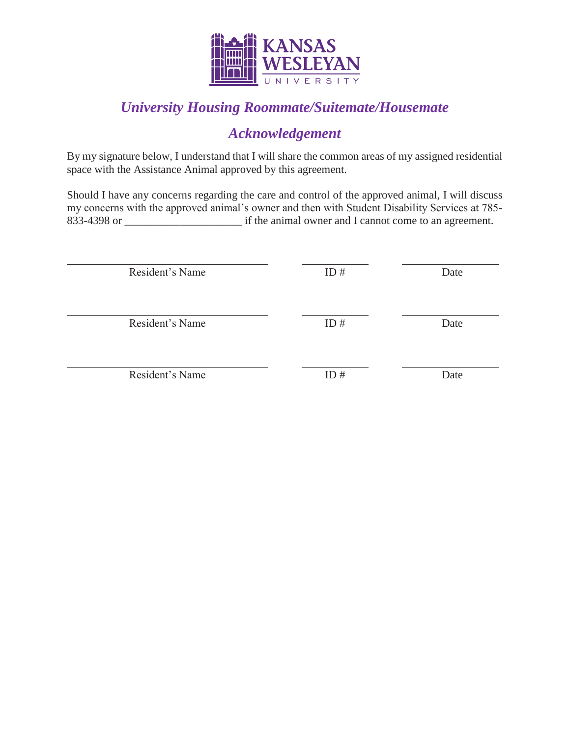

# *University Housing Roommate/Suitemate/Housemate*

## *Acknowledgement*

By my signature below, I understand that I will share the common areas of my assigned residential space with the Assistance Animal approved by this agreement.

Should I have any concerns regarding the care and control of the approved animal, I will discuss my concerns with the approved animal's owner and then with Student Disability Services at 785- 833-4398 or \_\_\_\_\_\_\_\_\_\_\_\_\_\_\_\_\_\_\_\_\_ if the animal owner and I cannot come to an agreement.

| Resident's Name | ID# | Date |
|-----------------|-----|------|
| Resident's Name | ID# | Date |
| Resident's Name | ID# | Date |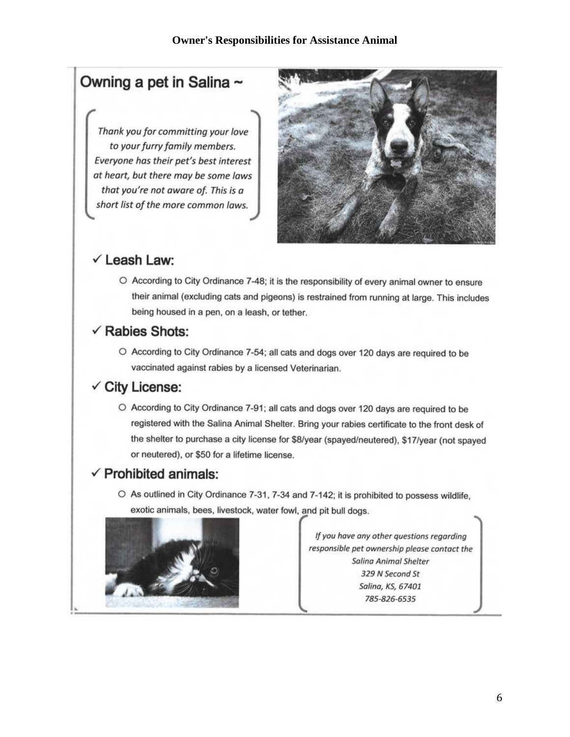# Owning a pet in Salina ~

Thank you for committing your love to your furry family members. Everyone has their pet's best interest at heart, but there may be some laws that you're not aware of. This is a short list of the more common laws.



## $\checkmark$  Leash Law:

O According to City Ordinance 7-48; it is the responsibility of every animal owner to ensure their animal (excluding cats and pigeons) is restrained from running at large. This includes being housed in a pen, on a leash, or tether.

#### $\checkmark$  Rabies Shots:

O According to City Ordinance 7-54; all cats and dogs over 120 days are required to be vaccinated against rabies by a licensed Veterinarian.

## $\checkmark$  City License:

O According to City Ordinance 7-91; all cats and dogs over 120 days are required to be registered with the Salina Animal Shelter. Bring your rabies certificate to the front desk of the shelter to purchase a city license for \$8/year (spayed/neutered), \$17/year (not spayed or neutered), or \$50 for a lifetime license.

### $\checkmark$  Prohibited animals:

O As outlined in City Ordinance 7-31, 7-34 and 7-142; it is prohibited to possess wildlife, exotic animals, bees, livestock, water fowl, and pit bull dogs.



If you have any other questions regarding responsible pet ownership please contact the **Salina Animal Shelter** 329 N Second St Salina, KS, 67401 785-826-6535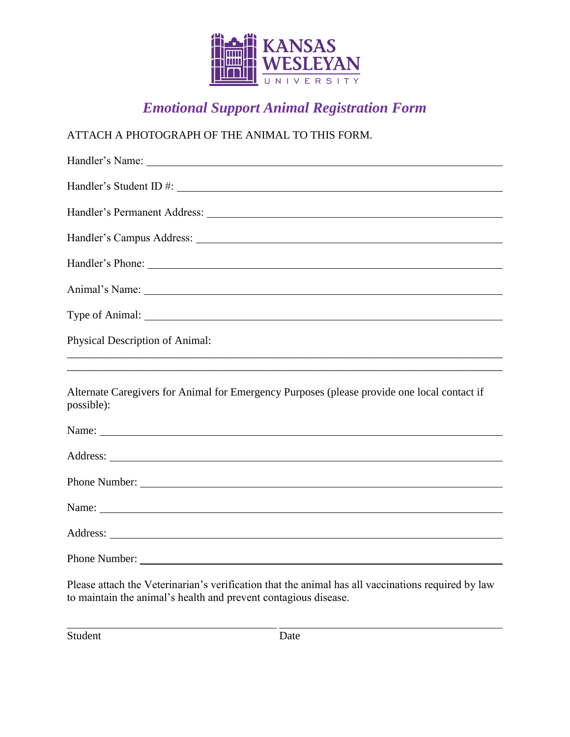

# *Emotional Support Animal Registration Form*

### ATTACH A PHOTOGRAPH OF THE ANIMAL TO THIS FORM.

| Physical Description of Animal:                                                                                                                                                                                                                                                                                                |
|--------------------------------------------------------------------------------------------------------------------------------------------------------------------------------------------------------------------------------------------------------------------------------------------------------------------------------|
|                                                                                                                                                                                                                                                                                                                                |
| Alternate Caregivers for Animal for Emergency Purposes (please provide one local contact if<br>possible):                                                                                                                                                                                                                      |
| Name: Name and the set of the set of the set of the set of the set of the set of the set of the set of the set of the set of the set of the set of the set of the set of the set of the set of the set of the set of the set o                                                                                                 |
|                                                                                                                                                                                                                                                                                                                                |
| Phone Number:                                                                                                                                                                                                                                                                                                                  |
|                                                                                                                                                                                                                                                                                                                                |
|                                                                                                                                                                                                                                                                                                                                |
| Phone Number:                                                                                                                                                                                                                                                                                                                  |
| $\mathbf{D1}$ and $\mathbf{1}$ at $\mathbf{1}$ $\mathbf{1}$ $\mathbf{1}$ $\mathbf{1}$ $\mathbf{1}$ $\mathbf{1}$ $\mathbf{1}$ $\mathbf{1}$ $\mathbf{1}$ $\mathbf{1}$ $\mathbf{1}$ $\mathbf{1}$ $\mathbf{1}$ $\mathbf{1}$ $\mathbf{1}$ $\mathbf{1}$ $\mathbf{1}$ $\mathbf{1}$ $\mathbf{1}$ $\mathbf{1}$ $\mathbf{1}$ $\mathbf{1$ |

Please attach the Veterinarian's verification that the animal has all vaccinations required by law to maintain the animal's health and prevent contagious disease.

Student Date